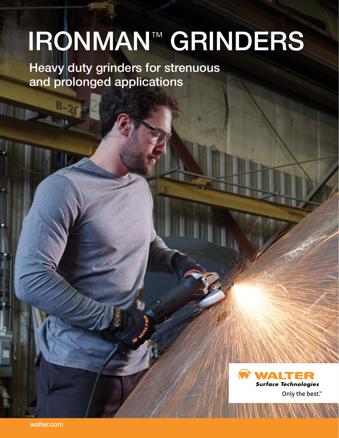# IRONMAN™ GRINDERS

Heavy duty grinders for strenuous and prolonged applications